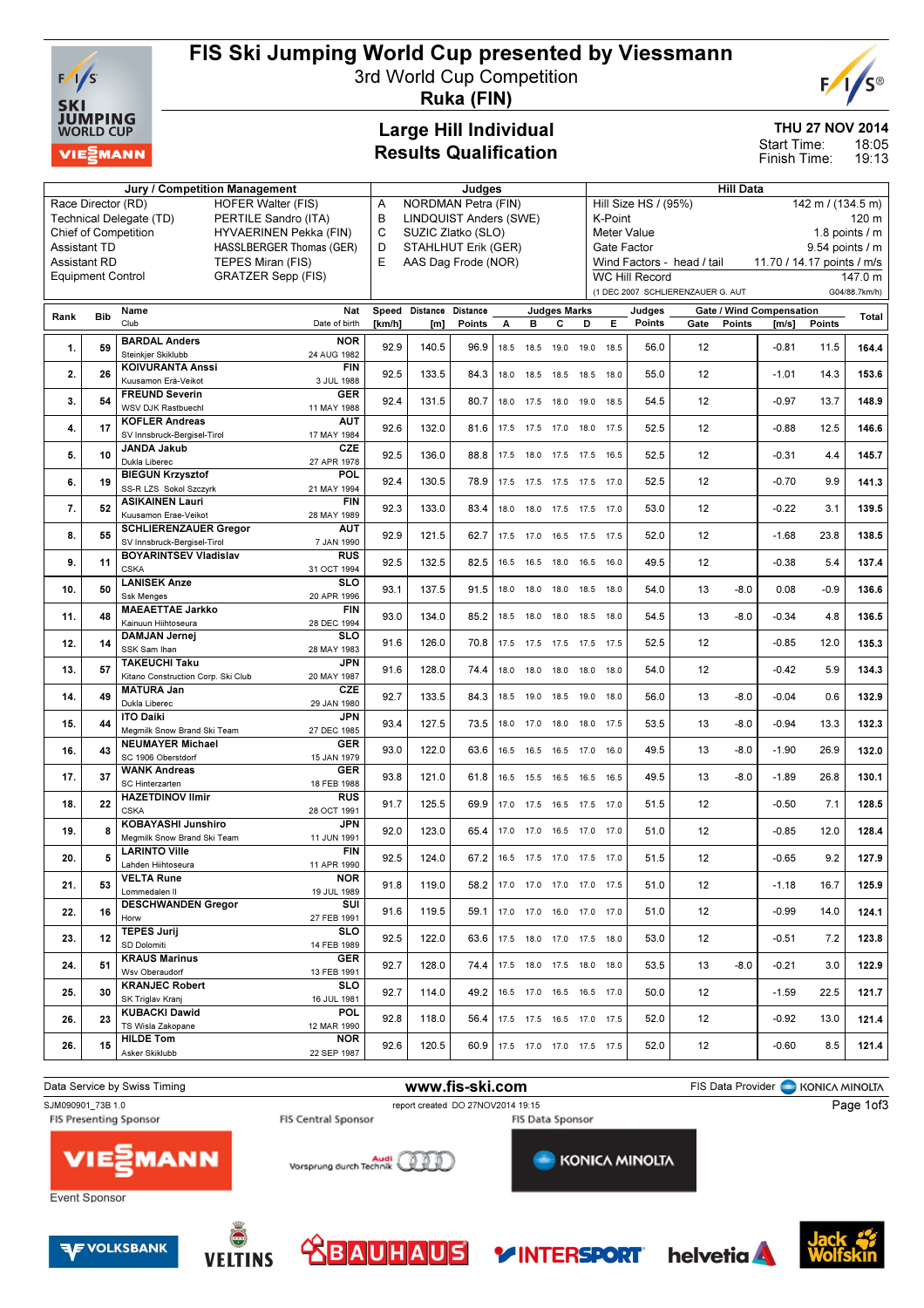

## FIS Ski Jumping World Cup presented by Viessmann

3rd World Cup Competition



Ruka (FIN)

#### Large Hill Individual Results Qualification

### THU 27 NOV 2014

18:05 19:13 Start Time: Finish Time:

|      | Jury / Competition Management              |                                                                                   |                           |        | Judges                                     |                 |      |      |                     |                          | <b>Hill Data</b> |                                   |                                   |               |                                 |               |                   |  |
|------|--------------------------------------------|-----------------------------------------------------------------------------------|---------------------------|--------|--------------------------------------------|-----------------|------|------|---------------------|--------------------------|------------------|-----------------------------------|-----------------------------------|---------------|---------------------------------|---------------|-------------------|--|
|      | Race Director (RD)                         | <b>HOFER Walter (FIS)</b>                                                         |                           | Α      | <b>NORDMAN Petra (FIN)</b>                 |                 |      |      |                     |                          |                  | Hill Size HS / (95%)              |                                   |               |                                 |               | 142 m / (134.5 m) |  |
|      |                                            | Technical Delegate (TD)<br>PERTILE Sandro (ITA)                                   |                           | В      | <b>LINDQUIST Anders (SWE)</b>              |                 |      |      |                     |                          | K-Point          |                                   |                                   |               |                                 |               | 120 m             |  |
|      |                                            | <b>Chief of Competition</b><br>HYVAERINEN Pekka (FIN)<br>HASSLBERGER Thomas (GER) |                           | C<br>D | SUZIC Zlatko (SLO)                         |                 |      |      |                     |                          |                  | <b>Meter Value</b><br>Gate Factor |                                   |               |                                 |               | 1.8 points $/m$   |  |
|      | <b>Assistant TD</b><br><b>Assistant RD</b> | TEPES Miran (FIS)                                                                 |                           | E      | STAHLHUT Erik (GER)<br>AAS Dag Frode (NOR) |                 |      |      |                     |                          |                  |                                   | Wind Factors - head / tail        |               | 11.70 / 14.17 points / m/s      |               | 9.54 points / m   |  |
|      | <b>Equipment Control</b>                   | <b>GRATZER Sepp (FIS)</b>                                                         |                           |        |                                            |                 |      |      |                     |                          |                  | <b>WC Hill Record</b>             |                                   |               |                                 |               | 147.0 m           |  |
|      |                                            |                                                                                   |                           |        |                                            |                 |      |      |                     |                          |                  |                                   | (1 DEC 2007 SCHLIERENZAUER G. AUT |               |                                 |               | G04/88.7km/h)     |  |
|      |                                            | Name                                                                              | <b>Nat</b>                | Speed  | Distance                                   | <b>Distance</b> |      |      | <b>Judges Marks</b> |                          |                  | Judges                            |                                   |               | <b>Gate / Wind Compensation</b> |               |                   |  |
| Rank | <b>Bib</b>                                 | Club                                                                              | Date of birth             | [km/h] | [m]                                        | Points          | А    | в    | С                   | D                        | Е.               | Points                            | Gate                              | <b>Points</b> | [m/s]                           | <b>Points</b> | Total             |  |
| 1.   | 59                                         | <b>BARDAL Anders</b><br>Steinkjer Skiklubb                                        | <b>NOR</b><br>24 AUG 1982 | 92.9   | 140.5                                      | 96.9            | 18.5 | 18.5 | 19.0                | 19.0 18.5                |                  | 56.0                              | 12                                |               | $-0.81$                         | 11.5          | 164.4             |  |
| 2.   | 26                                         | <b>KOIVURANTA Anssi</b><br>Kuusamon Erä-Veikot                                    | <b>FIN</b><br>3 JUL 1988  | 92.5   | 133.5                                      | 84.3            | 18.0 | 18.5 | 18.5                | 18.5 18.0                |                  | 55.0                              | 12                                |               | $-1.01$                         | 14.3          | 153.6             |  |
| 3.   | 54                                         | <b>FREUND Severin</b><br>WSV DJK Rastbuechl                                       | <b>GER</b><br>11 MAY 1988 | 92.4   | 131.5                                      | 80.7            | 18.0 | 17.5 | 18.0                | 19.0 18.5                |                  | 54.5                              | 12                                |               | $-0.97$                         | 13.7          | 148.9             |  |
|      |                                            | <b>KOFLER Andreas</b>                                                             | <b>AUT</b>                |        |                                            |                 |      |      |                     |                          |                  |                                   | 12                                |               |                                 |               |                   |  |
| 4.   | 17                                         | SV Innsbruck-Bergisel-Tirol                                                       | 17 MAY 1984               | 92.6   | 132.0                                      | 81.6            | 17.5 |      |                     | 17.5 17.0 18.0 17.5      |                  | 52.5                              |                                   |               | $-0.88$                         | 12.5          | 146.6             |  |
| 5.   | 10                                         | <b>JANDA Jakub</b><br>Dukla Liberec                                               | <b>CZE</b><br>27 APR 1978 | 92.5   | 136.0                                      | 88.8            | 17.5 | 18.0 |                     | 17.5 17.5 16.5           |                  | 52.5                              | 12                                |               | $-0.31$                         | 4.4           | 145.7             |  |
| 6.   | 19                                         | <b>BIEGUN Krzysztof</b><br>SS-R LZS Sokol Szczyrk                                 | POL<br>21 MAY 1994        | 92.4   | 130.5                                      | 78.9            |      |      |                     | 17.5 17.5 17.5 17.5 17.0 |                  | 52.5                              | 12                                |               | $-0.70$                         | 9.9           | 141.3             |  |
| 7.   | 52                                         | <b>ASIKAINEN Lauri</b><br>Kuusamon Erae-Veikot                                    | <b>FIN</b><br>28 MAY 1989 | 92.3   | 133.0                                      | 83.4            | 18.0 |      |                     | 18.0 17.5 17.5 17.0      |                  | 53.0                              | 12                                |               | $-0.22$                         | 3.1           | 139.5             |  |
| 8.   | 55                                         | <b>SCHLIERENZAUER Gregor</b><br>SV Innsbruck-Bergisel-Tirol                       | <b>AUT</b><br>7 JAN 1990  | 92.9   | 121.5                                      | 62.7            |      |      |                     | 17.5 17.0 16.5 17.5 17.5 |                  | 52.0                              | 12                                |               | $-1.68$                         | 23.8          | 138.5             |  |
| 9.   | 11                                         | <b>BOYARINTSEV Vladislav</b><br><b>CSKA</b>                                       | <b>RUS</b><br>31 OCT 1994 | 92.5   | 132.5                                      | 82.5            | 16.5 |      |                     | 16.5 18.0 16.5 16.0      |                  | 49.5                              | 12                                |               | $-0.38$                         | 5.4           | 137.4             |  |
| 10.  | 50                                         | <b>LANISEK Anze</b><br><b>Ssk Menges</b>                                          | <b>SLO</b><br>20 APR 1996 | 93.1   | 137.5                                      | 91.5            | 18.0 | 18.0 | 18.0                | 18.5 18.0                |                  | 54.0                              | 13                                | $-8.0$        | 0.08                            | $-0.9$        | 136.6             |  |
| 11.  | 48                                         | <b>MAEAETTAE Jarkko</b><br>Kainuun Hiihtoseura                                    | <b>FIN</b><br>28 DEC 1994 | 93.0   | 134.0                                      | 85.2            | 18.5 |      |                     | 18.0 18.0 18.5 18.0      |                  | 54.5                              | 13                                | $-8.0$        | $-0.34$                         | 4.8           | 136.5             |  |
| 12.  | 14                                         | <b>DAMJAN Jernej</b><br>SSK Sam Ihan                                              | <b>SLO</b><br>28 MAY 1983 | 91.6   | 126.0                                      | 70.8            | 17.5 | 17.5 |                     | 17.5 17.5 17.5           |                  | 52.5                              | 12                                |               | $-0.85$                         | 12.0          | 135.3             |  |
| 13.  | 57                                         | <b>TAKEUCHI Taku</b><br>Kitano Construction Corp. Ski Club                        | <b>JPN</b><br>20 MAY 1987 | 91.6   | 128.0                                      | 74.4            | 18.0 | 18.0 |                     | 18.0 18.0 18.0           |                  | 54.0                              | 12                                |               | $-0.42$                         | 5.9           | 134.3             |  |
| 14.  | 49                                         | <b>MATURA Jan</b><br>Dukla Liberec                                                | <b>CZE</b><br>29 JAN 1980 | 92.7   | 133.5                                      | 84.3            | 18.5 | 19.0 |                     | 18.5 19.0 18.0           |                  | 56.0                              | 13                                | $-8.0$        | $-0.04$                         | 0.6           | 132.9             |  |
| 15.  | 44                                         | <b>ITO Daiki</b><br>Megmilk Snow Brand Ski Team                                   | <b>JPN</b><br>27 DEC 1985 | 93.4   | 127.5                                      | 73.5            | 18.0 |      |                     | 17.0 18.0 18.0 17.5      |                  | 53.5                              | 13                                | $-8.0$        | $-0.94$                         | 13.3          | 132.3             |  |
| 16.  | 43                                         | <b>NEUMAYER Michael</b><br>SC 1906 Oberstdorf                                     | <b>GER</b><br>15 JAN 1979 | 93.0   | 122.0                                      | 63.6            |      |      |                     | 16.5 16.5 16.5 17.0 16.0 |                  | 49.5                              | 13                                | $-8.0$        | $-1.90$                         | 26.9          | 132.0             |  |
| 17.  | 37                                         | <b>WANK Andreas</b><br>SC Hinterzarten                                            | <b>GER</b><br>18 FEB 1988 | 93.8   | 121.0                                      | 61.8            |      |      |                     | 16.5 15.5 16.5 16.5 16.5 |                  | 49.5                              | 13                                | $-8.0$        | $-1.89$                         | 26.8          | 130.1             |  |
| 18.  | 22                                         | <b>HAZETDINOV Ilmir</b><br><b>CSKA</b>                                            | <b>RUS</b><br>28 OCT 1991 | 91.7   | 125.5                                      | 69.9            | 17.0 |      |                     | 17.5 16.5 17.5 17.0      |                  | 51.5                              | 12                                |               | $-0.50$                         | 7.1           | 128.5             |  |
| 19.  | 8                                          | KOBAYASHI Junshiro<br>Megmilk Snow Brand Ski Team                                 | JPN<br>11 JUN 1991        | 92.0   | 123.0                                      | 65.4            | 17.0 | 17.0 |                     | 16.5 17.0 17.0           |                  | 51.0                              | 12                                |               | $-0.85$                         | 12.0          | 128.4             |  |
| 20.  | 5                                          | <b>LARINTO Ville</b><br>Lahden Hiihtoseura                                        | <b>FIN</b><br>11 APR 1990 | 92.5   | 124.0                                      | 67.2            |      |      |                     | 16.5 17.5 17.0 17.5 17.0 |                  | 51.5                              | 12                                |               | $-0.65$                         | 9.2           | 127.9             |  |
| 21.  | 53                                         | VELTA Rune<br>Lommedalen II                                                       | NOR<br>19 JUL 1989        | 91.8   | 119.0                                      | 58.2            |      |      |                     | 17.0 17.0 17.0 17.0 17.5 |                  | 51.0                              | 12                                |               | $-1.18$                         | 16.7          | 125.9             |  |
| 22.  | 16                                         | <b>DESCHWANDEN Gregor</b><br>Horw                                                 | SUI<br>27 FEB 1991        | 91.6   | 119.5                                      | 59.1            |      |      |                     | 17.0 17.0 16.0 17.0 17.0 |                  | 51.0                              | 12                                |               | $-0.99$                         | 14.0          | 124.1             |  |
| 23.  | 12                                         | <b>TEPES Jurij</b><br>SD Dolomiti                                                 | <b>SLO</b><br>14 FEB 1989 | 92.5   | 122.0                                      | 63.6            |      |      |                     | 17.5 18.0 17.0 17.5 18.0 |                  | 53.0                              | 12                                |               | $-0.51$                         | 7.2           | 123.8             |  |
| 24.  | 51                                         | <b>KRAUS Marinus</b><br>Wsv Oberaudorf                                            | GER<br>13 FEB 1991        | 92.7   | 128.0                                      | 74.4            |      |      |                     | 17.5 18.0 17.5 18.0 18.0 |                  | 53.5                              | 13                                | $-8.0$        | $-0.21$                         | 3.0           | 122.9             |  |
| 25.  | 30                                         | <b>KRANJEC Robert</b><br>SK Triglav Kranj                                         | <b>SLO</b><br>16 JUL 1981 | 92.7   | 114.0                                      | 49.2            |      |      |                     | 16.5 17.0 16.5 16.5 17.0 |                  | 50.0                              | 12                                |               | $-1.59$                         | 22.5          | 121.7             |  |
| 26.  | 23                                         | <b>KUBACKI Dawid</b><br>TS Wisla Zakopane                                         | <b>POL</b><br>12 MAR 1990 | 92.8   | 118.0                                      | 56.4            |      |      |                     | 17.5 17.5 16.5 17.0 17.5 |                  | 52.0                              | 12                                |               | $-0.92$                         | 13.0          | 121.4             |  |
| 26.  | 15                                         | <b>HILDE Tom</b><br>Asker Skiklubb                                                | <b>NOR</b><br>22 SEP 1987 | 92.6   | 120.5                                      | 60.9            |      |      |                     | 17.5 17.0 17.0 17.5 17.5 |                  | 52.0                              | 12                                |               | $-0.60$                         | 8.5           | 121.4             |  |
|      |                                            |                                                                                   |                           |        |                                            |                 |      |      |                     |                          |                  |                                   |                                   |               |                                 |               |                   |  |













**helvetia**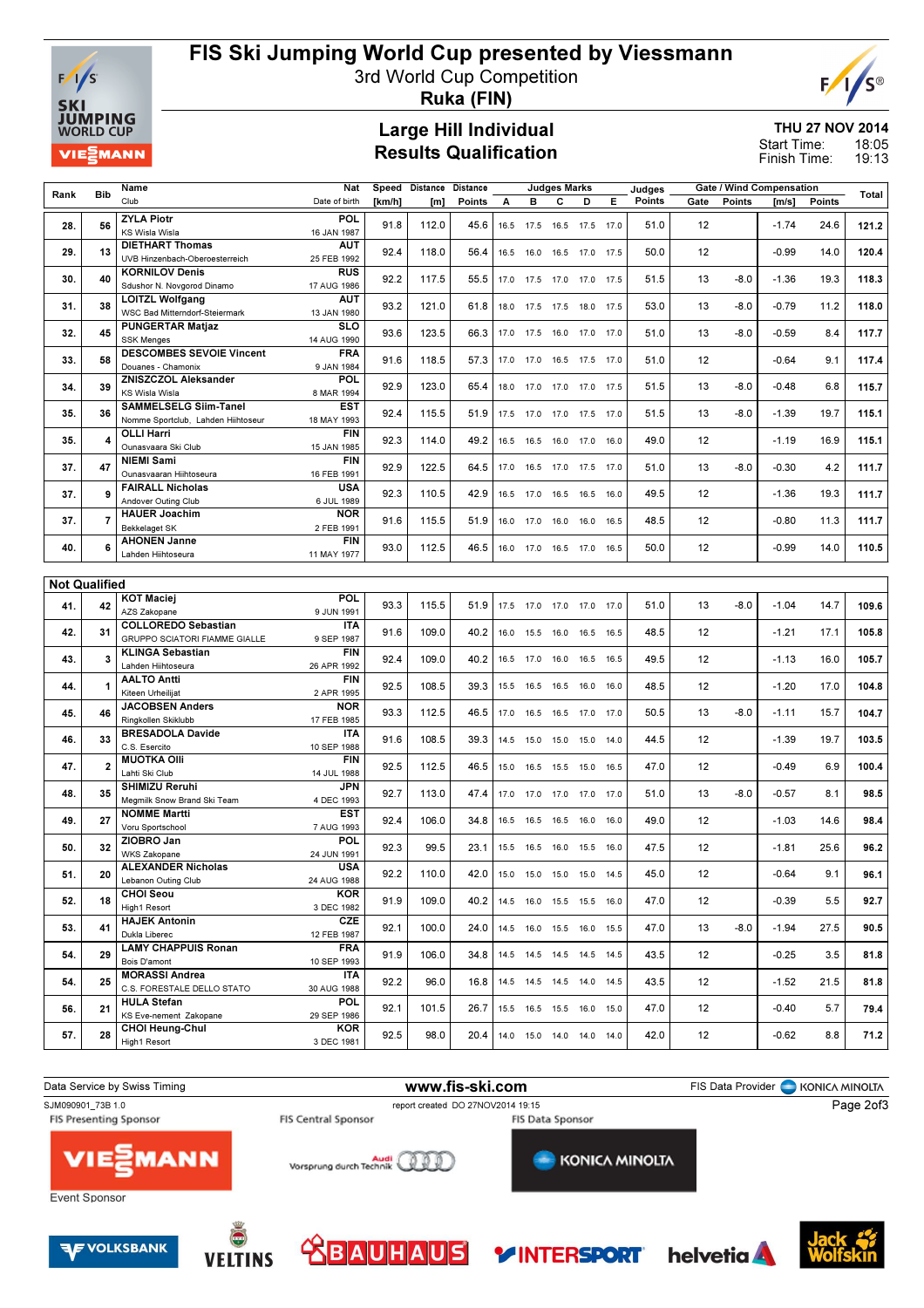

### FIS Ski Jumping World Cup presented by Viessmann

3rd World Cup Competition



Ruka (FIN)

#### Large Hill Individual Results Qualification

THU 27 NOV 2014 18:05 Start Time:

19:13 Finish Time:

|                      |            | Name                               | Nat           |        | Speed Distance Distance |               |      |                  | <b>Judges Marks</b> |                              |      | Judges |      |        | Gate / Wind Compensation |        |       |
|----------------------|------------|------------------------------------|---------------|--------|-------------------------|---------------|------|------------------|---------------------|------------------------------|------|--------|------|--------|--------------------------|--------|-------|
| Rank                 | <b>Bib</b> | Club                               | Date of birth | [km/h] | [m]                     | <b>Points</b> | А    | в                | C                   | D                            | Е    | Points | Gate | Points | [m/s]                    | Points | Total |
|                      |            |                                    |               |        |                         |               |      |                  |                     |                              |      |        |      |        |                          |        |       |
| 28.                  | 56         | <b>ZYLA Piotr</b>                  | POL           | 91.8   | 112.0                   | 45.6          |      | 16.5 17.5 16.5   |                     | 17.5 17.0                    |      | 51.0   | 12   |        | $-1.74$                  | 24.6   | 121.2 |
|                      |            | <b>KS Wisla Wisla</b>              | 16 JAN 1987   |        |                         |               |      |                  |                     |                              |      |        |      |        |                          |        |       |
|                      |            | <b>DIETHART Thomas</b>             | <b>AUT</b>    |        |                         |               |      |                  |                     |                              |      |        |      |        |                          |        |       |
| 29.                  | 13         | UVB Hinzenbach-Oberoesterreich     | 25 FEB 1992   | 92.4   | 118.0                   | 56.4          |      |                  |                     | 16.5 16.0 16.5 17.0 17.5     |      | 50.0   | 12   |        | $-0.99$                  | 14.0   | 120.4 |
|                      |            |                                    |               |        |                         |               |      |                  |                     |                              |      |        |      |        |                          |        |       |
| 30.                  | 40         | <b>KORNILOV Denis</b>              | <b>RUS</b>    | 92.2   | 117.5                   | 55.5          |      |                  |                     | 17.0  17.5  17.0  17.0  17.5 |      | 51.5   | 13   | $-8.0$ | $-1.36$                  | 19.3   | 118.3 |
|                      |            | Sdushor N. Novgorod Dinamo         | 17 AUG 1986   |        |                         |               |      |                  |                     |                              |      |        |      |        |                          |        |       |
|                      |            | <b>LOITZL Wolfgang</b>             | AUT           |        |                         |               |      |                  |                     |                              |      |        |      |        |                          |        |       |
| 31.                  | 38         | WSC Bad Mitterndorf-Steiermark     | 13 JAN 1980   | 93.2   | 121.0                   | 61.8          |      |                  |                     | 18.0 17.5 17.5 18.0 17.5     |      | 53.0   | 13   | $-8.0$ | $-0.79$                  | 11.2   | 118.0 |
|                      |            |                                    |               |        |                         |               |      |                  |                     |                              |      |        |      |        |                          |        |       |
| 32.                  | 45         | <b>PUNGERTAR Matjaz</b>            | SLO           | 93.6   | 123.5                   | 66.3          | 17.0 | 17.5 16.0        |                     | 17.0 17.0                    |      | 51.0   | 13   | $-8.0$ | $-0.59$                  | 8.4    | 117.7 |
|                      |            | <b>SSK Menges</b>                  | 14 AUG 1990   |        |                         |               |      |                  |                     |                              |      |        |      |        |                          |        |       |
|                      |            | <b>DESCOMBES SEVOIE Vincent</b>    | <b>FRA</b>    |        |                         |               |      |                  |                     |                              |      |        |      |        |                          |        |       |
| 33.                  | 58         | Douanes - Chamonix                 | 9 JAN 1984    | 91.6   | 118.5                   | 57.3          | 17.0 | 17.0 16.5        |                     | 17.5 17.0                    |      | 51.0   | 12   |        | $-0.64$                  | 9.1    | 117.4 |
|                      |            | <b>ZNISZCZOL Aleksander</b>        | POL           |        |                         |               |      |                  |                     |                              |      |        |      |        |                          |        |       |
| 34.                  | 39         | <b>KS Wisla Wisla</b>              | 8 MAR 1994    | 92.9   | 123.0                   | 65.4          | 18.0 | 17.0 17.0        |                     | 17.0                         | 17.5 | 51.5   | 13   | $-8.0$ | $-0.48$                  | 6.8    | 115.7 |
|                      |            |                                    |               |        |                         |               |      |                  |                     |                              |      |        |      |        |                          |        |       |
| 35.                  | 36         | <b>SAMMELSELG Siim-Tanel</b>       | <b>EST</b>    | 92.4   | 115.5                   | 51.9          |      | 17.5 17.0 17.0   |                     | 17.5                         | 17.0 | 51.5   | 13   | $-8.0$ | $-1.39$                  | 19.7   | 115.1 |
|                      |            | Nomme Sportclub, Lahden Hiihtoseur | 18 MAY 1993   |        |                         |               |      |                  |                     |                              |      |        |      |        |                          |        |       |
|                      |            | <b>OLLI Harri</b>                  | <b>FIN</b>    |        |                         |               |      |                  |                     |                              |      |        |      |        |                          |        |       |
| 35.                  |            | Ounasvaara Ski Club                | 15 JAN 1985   | 92.3   | 114.0                   | 49.2          |      | 16.5 16.5 16.0   |                     | 17.0 16.0                    |      | 49.0   | 12   |        | $-1.19$                  | 16.9   | 115.1 |
|                      |            | <b>NIEMI Sami</b>                  | <b>FIN</b>    |        |                         |               |      |                  |                     |                              |      |        |      |        |                          |        |       |
| 37.                  | 47         | Ounasvaaran Hiihtoseura            |               | 92.9   | 122.5                   | 64.5          |      |                  |                     | 17.0  16.5  17.0  17.5  17.0 |      | 51.0   | 13   | $-8.0$ | $-0.30$                  | 4.2    | 111.7 |
|                      |            |                                    | 16 FEB 1991   |        |                         |               |      |                  |                     |                              |      |        |      |        |                          |        |       |
| 37.                  |            | <b>FAIRALL Nicholas</b>            | USA           | 92.3   | 110.5                   | 42.9          |      |                  |                     | 16.5 17.0 16.5 16.5 16.0     |      | 49.5   | 12   |        | $-1.36$                  | 19.3   | 111.7 |
|                      |            | Andover Outing Club                | 6 JUL 1989    |        |                         |               |      |                  |                     |                              |      |        |      |        |                          |        |       |
|                      |            | <b>HAUER Joachim</b>               | <b>NOR</b>    |        |                         |               |      |                  |                     |                              |      |        |      |        |                          |        |       |
| 37.                  |            | Bekkelaget SK                      | 2 FEB 1991    | 91.6   | 115.5                   | 51.9          |      | 16.0 17.0 16.0   |                     | 16.0 16.5                    |      | 48.5   | 12   |        | $-0.80$                  | 11.3   | 111.7 |
|                      |            | <b>AHONEN Janne</b>                | <b>FIN</b>    |        |                         |               |      |                  |                     |                              |      |        |      |        |                          |        |       |
| 40.                  | 6          |                                    |               | 93.0   | 112.5                   | 46.5          |      |                  |                     | 16.0 17.0 16.5 17.0 16.5     |      | 50.0   | 12   |        | $-0.99$                  | 14.0   | 110.5 |
|                      |            | Lahden Hiihtoseura                 | 11 MAY 1977   |        |                         |               |      |                  |                     |                              |      |        |      |        |                          |        |       |
|                      |            |                                    |               |        |                         |               |      |                  |                     |                              |      |        |      |        |                          |        |       |
| <b>Not Qualified</b> |            |                                    |               |        |                         |               |      |                  |                     |                              |      |        |      |        |                          |        |       |
|                      |            |                                    | POL           |        |                         |               |      |                  |                     |                              |      |        |      |        |                          |        |       |
| 41.                  | 42         | <b>KOT Maciej</b>                  |               | 93.3   | 115.5                   | 51.9          |      |                  |                     | 17.5 17.0 17.0 17.0 17.0     |      | 51.0   | 13   | $-8.0$ | $-1.04$                  | 14.7   | 109.6 |
|                      |            | AZS Zakopane                       | 9 JUN 1991    |        |                         |               |      |                  |                     |                              |      |        |      |        |                          |        |       |
|                      |            | <b>COLLOREDO Sebastian</b>         | <b>ITA</b>    | 91.6   | 109.0                   | 40.2          |      |                  |                     |                              |      | 48.5   | 12   |        | $-1.21$                  | 17.1   |       |
| 42.                  | 31         | GRUPPO SCIATORI FIAMME GIALLE      | 9 SEP 1987    |        |                         |               |      | 16.0  15.5  16.0 |                     | 16.5 16.5                    |      |        |      |        |                          |        | 105.8 |
|                      |            | <b>KLINGA Sebastian</b>            | <b>FIN</b>    |        |                         |               |      |                  |                     |                              |      |        |      |        |                          |        |       |
| 43.                  | 3          | Lahden Hiihtoseura                 | 26 APR 1992   | 92.4   | 109.0                   | 40.2          |      | 16.5 17.0 16.0   |                     | 16.5                         | 16.5 | 49.5   | 12   |        | $-1.13$                  | 16.0   | 105.7 |
|                      |            |                                    |               |        |                         |               |      |                  |                     |                              |      |        |      |        |                          |        |       |
| 44.                  |            | <b>AALTO Antti</b>                 | <b>FIN</b>    | 92.5   | 108.5                   | 39.3          | 15.5 |                  | 16.5 16.5           | 16.0                         | 16.0 | 48.5   | 12   |        | $-1.20$                  | 17.0   | 104.8 |
|                      |            | Kiteen Urheilijat                  | 2 APR 1995    |        |                         |               |      |                  |                     |                              |      |        |      |        |                          |        |       |
|                      | 46         | <b>JACOBSEN Anders</b>             | <b>NOR</b>    |        |                         |               |      |                  |                     |                              |      |        |      | $-8.0$ |                          |        |       |
| 45.                  |            | Ringkollen Skiklubb                | 17 FEB 1985   | 93.3   | 112.5                   | 46.5          | 17.0 |                  | 16.5 16.5           | 17.0                         | 17.0 | 50.5   | 13   |        | $-1.11$                  | 15.7   | 104.7 |
|                      |            | <b>BRESADOLA Davide</b>            | <b>ITA</b>    |        |                         |               |      |                  |                     |                              |      |        |      |        |                          |        |       |
| 46.                  | 33         | C.S. Esercito                      | 10 SEP 1988   | 91.6   | 108.5                   | 39.3          | 14.5 | 15.0             | 15.0                | 15.0                         | 14.0 | 44.5   | 12   |        | $-1.39$                  | 19.7   | 103.5 |
|                      |            |                                    |               |        |                         |               |      |                  |                     |                              |      |        |      |        |                          |        |       |
| 47.                  |            | <b>MUOTKA Olli</b>                 | <b>FIN</b>    | 92.5   | 112.5                   | 46.5          | 15.0 |                  | 16.5 15.5           | 15.0                         | 16.5 | 47.0   | 12   |        | $-0.49$                  | 6.9    | 100.4 |
|                      |            | Lahti Ski Club                     | 14 JUL 1988   |        |                         |               |      |                  |                     |                              |      |        |      |        |                          |        |       |
|                      |            | SHIMIZU Reruhi                     | <b>JPN</b>    | 92.7   |                         |               |      |                  |                     |                              |      |        |      |        |                          |        |       |
| 48.                  | 35         | Megmilk Snow Brand Ski Team        | 4 DEC 1993    |        | 113.0                   | 47.4          |      | 17.0 17.0 17.0   |                     | 17.0 17.0                    |      | 51.0   | 13   | $-8.0$ | $-0.57$                  | 8.1    | 98.5  |
|                      |            | <b>NOMME Martti</b>                | <b>EST</b>    |        |                         |               |      |                  |                     |                              |      |        |      |        |                          |        |       |
| 49.                  | 27         | Voru Sportschool                   | 7 AUG 1993    | 92.4   | 106.0                   | 34.8          |      | 16.5 16.5 16.5   |                     | 16.0 16.0                    |      | 49.0   | 12   |        | $-1.03$                  | 14.6   | 98.4  |
|                      |            |                                    |               |        |                         |               |      |                  |                     |                              |      |        |      |        |                          |        |       |
| 50.                  | 32         | ZIOBRO Jan                         | POL           | 92.3   | 99.5                    | 23.1          |      | 15.5 16.5 16.0   |                     | 15.5 16.0                    |      | 47.5   | 12   |        | $-1.81$                  | 25.6   | 96.2  |
|                      |            | <b>WKS Zakopane</b>                | 24 JUN 1991   |        |                         |               |      |                  |                     |                              |      |        |      |        |                          |        |       |
| 51.                  | 20         | <b>ALEXANDER Nicholas</b>          | <b>USA</b>    | 92.2   | 110.0                   | 42.0          |      |                  |                     |                              |      | 45.0   | 12   |        | $-0.64$                  | 9.1    | 96.1  |
|                      |            | Lebanon Outing Club                | 24 AUG 1988   |        |                         |               |      | 15.0 15.0 15.0   |                     | 15.0                         | 14.5 |        |      |        |                          |        |       |
|                      |            | <b>CHOI Seou</b>                   | <b>KOR</b>    |        |                         |               |      |                  |                     |                              |      |        |      |        |                          |        |       |
| 52.                  | 18         | High1 Resort                       | 3 DEC 1982    | 91.9   | 109.0                   | 40.2          |      |                  |                     | 14.5 16.0 15.5 15.5 16.0     |      | 47.0   | 12   |        | $-0.39$                  | 5.5    | 92.7  |
|                      |            |                                    |               |        |                         |               |      |                  |                     |                              |      |        |      |        |                          |        |       |
| 53.                  | 41         | <b>HAJEK Antonin</b>               | <b>CZE</b>    | 92.1   | 100.0                   | 24.0          |      |                  |                     | 14.5 16.0 15.5 16.0 15.5     |      | 47.0   | 13   | $-8.0$ | $-1.94$                  | 27.5   | 90.5  |
|                      |            | Dukla Liberec                      | 12 FEB 1987   |        |                         |               |      |                  |                     |                              |      |        |      |        |                          |        |       |
|                      | 29         | <b>LAMY CHAPPUIS Ronan</b>         | <b>FRA</b>    |        |                         |               |      |                  |                     |                              |      |        |      |        |                          |        |       |
| 54.                  |            | Bois D'amont                       | 10 SEP 1993   | 91.9   | 106.0                   | 34.8          |      |                  |                     | 14.5  14.5  14.5  14.5  14.5 |      | 43.5   | 12   |        | $-0.25$                  | 3.5    | 81.8  |
|                      |            | <b>MORASSI Andrea</b>              | <b>ITA</b>    |        |                         |               |      |                  |                     |                              |      |        |      |        |                          |        |       |
| 54.                  | 25         | C.S. FORESTALE DELLO STATO         | 30 AUG 1988   | 92.2   | 96.0                    | 16.8          |      |                  |                     | 14.5 14.5 14.5 14.0 14.5     |      | 43.5   | 12   |        | $-1.52$                  | 21.5   | 81.8  |
|                      |            |                                    |               |        |                         |               |      |                  |                     |                              |      |        |      |        |                          |        |       |
| 56.                  | 21         | <b>HULA Stefan</b>                 | POL           | 92.1   | 101.5                   | 26.7          |      |                  |                     | 15.5 16.5 15.5 16.0 15.0     |      | 47.0   | 12   |        | $-0.40$                  | 5.7    | 79.4  |
|                      |            | KS Eve-nement Zakopane             | 29 SEP 1986   |        |                         |               |      |                  |                     |                              |      |        |      |        |                          |        |       |
|                      |            | <b>CHOI Heung-Chul</b>             | KOR           |        |                         |               |      |                  |                     |                              |      |        |      |        |                          |        |       |
| 57.                  | 28         | High1 Resort                       | 3 DEC 1981    | 92.5   | 98.0                    | 20.4          |      |                  |                     | 14.0  15.0  14.0  14.0  14.0 |      | 42.0   | 12   |        | $-0.62$                  | 8.8    | 71.2  |